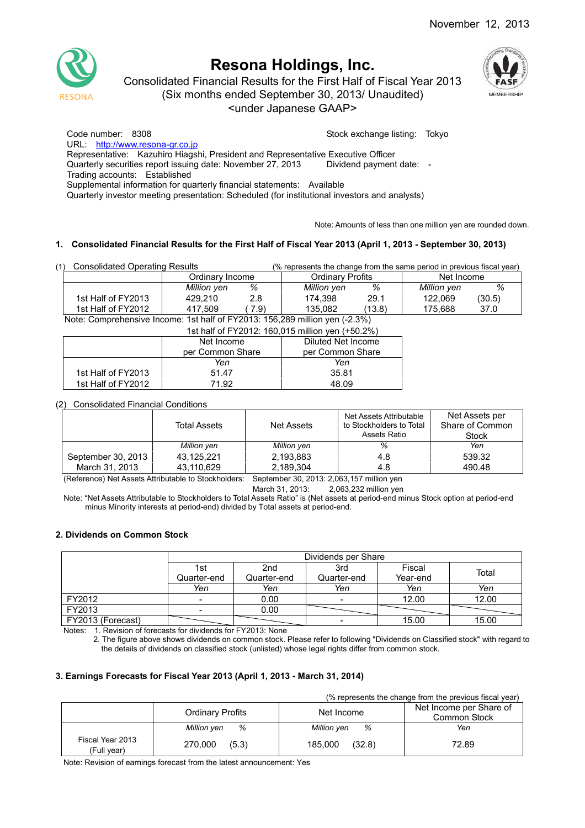

Consolidated Financial Results for the First Half of Fiscal Year 2013

(Six months ended September 30, 2013/ Unaudited)

<under Japanese GAAP>



Code number: 8308 Stock exchange listing: Tokyo

URL: http://www.resona-gr.co.jp

Representative: Kazuhiro Hiagshi, President and Representative Executive Officer

Quarterly securities report issuing date: November 27, 2013 Dividend payment date: -

Trading accounts: Established

Supplemental information for quarterly financial statements: Available

Quarterly investor meeting presentation: Scheduled (for institutional investors and analysts)

Note: Amounts of less than one million yen are rounded down.

## **1. Consolidated Financial Results for the First Half of Fiscal Year 2013 (April 1, 2013 - September 30, 2013)**

| (1) | <b>Consolidated Operating Results</b> |             |      | (% represents the change from the same period in previous fiscal year) |        |             |        |
|-----|---------------------------------------|-------------|------|------------------------------------------------------------------------|--------|-------------|--------|
|     | Ordinarv Income                       |             |      | <b>Ordinary Profits</b>                                                |        | Net Income  |        |
|     |                                       | Million yen | %    | Million yen                                                            | %      | Million yen | %      |
|     | 1st Half of FY2013                    | 429.210     | 2.8  | 174.398                                                                | 29.1   | 122.069     | (30.5) |
|     | 1st Half of FY2012                    | 417,509     | 7.9) | 135.082                                                                | (13.8) | 175.688     | 37.0   |

Note: Comprehensive Income: 1st half of FY2013: 156,289 million yen (-2.3%)

|                    | 1st half of FY2012: 160,015 million yen (+50.2%) |       |  |  |  |  |
|--------------------|--------------------------------------------------|-------|--|--|--|--|
|                    | Diluted Net Income                               |       |  |  |  |  |
|                    | per Common Share<br>per Common Share             |       |  |  |  |  |
|                    | Yen                                              | Yen   |  |  |  |  |
| 1st Half of FY2013 | 51.47                                            | 35.81 |  |  |  |  |
| 1st Half of FY2012 | 71.92                                            | 48.09 |  |  |  |  |

## (2) Consolidated Financial Conditions

|                    | Total Assets | Net Assets  | Net Assets Attributable<br>to Stockholders to Total<br>Assets Ratio | Net Assets per<br>Share of Common<br>Stock |
|--------------------|--------------|-------------|---------------------------------------------------------------------|--------------------------------------------|
|                    | Million yen  | Million yen | %                                                                   | Yen                                        |
| September 30, 2013 | 43.125.221   | 2,193,883   | 4.8                                                                 | 539.32                                     |
| March 31, 2013     | 43.110.629   | 2,189,304   | 4.8                                                                 | 490.48                                     |

(Reference) Net Assets Attributable to Stockholders: September 30, 2013: 2,063,157 million yen

March 31, 2013: 2,063,232 million yen

Note: "Net Assets Attributable to Stockholders to Total Assets Ratio" is (Net assets at period-end minus Stock option at period-end minus Minority interests at period-end) divided by Total assets at period-end.

## **2. Dividends on Common Stock**

|                   |                          | Dividends per Share |                          |          |       |  |  |  |
|-------------------|--------------------------|---------------------|--------------------------|----------|-------|--|--|--|
|                   | 1st                      | 2nd                 | 3rd                      | Fiscal   | Total |  |  |  |
|                   | Quarter-end              | Quarter-end         | Quarter-end              | Year-end |       |  |  |  |
|                   | Yen                      | Yen                 | Yen                      | Yen      | Yen   |  |  |  |
| FY2012            | $\overline{\phantom{0}}$ | 0.00                | $\overline{\phantom{a}}$ | 12.00    | 12.00 |  |  |  |
| FY2013            | $\overline{\phantom{0}}$ | 0.00                |                          |          |       |  |  |  |
| FY2013 (Forecast) |                          |                     | 15.00                    | 15.00    |       |  |  |  |

Notes: 1. Revision of forecasts for dividends for FY2013: None

2. The figure above shows dividends on common stock. Please refer to following "Dividends on Classified stock" with regard to the details of dividends on classified stock (unlisted) whose legal rights differ from common stock.

## **3. Earnings Forecasts for Fiscal Year 2013 (April 1, 2013 - March 31, 2014)**

(% represents the change from the previous fiscal year)

|                                 | <b>Ordinary Profits</b> | Net Income        | Net Income per Share of<br>Common Stock |
|---------------------------------|-------------------------|-------------------|-----------------------------------------|
|                                 | %<br>Million yen        | %<br>Million yen  | Yen                                     |
| Fiscal Year 2013<br>(Full year) | 270,000<br>(5.3)        | 185,000<br>(32.8) | 72.89                                   |

Note: Revision of earnings forecast from the latest announcement: Yes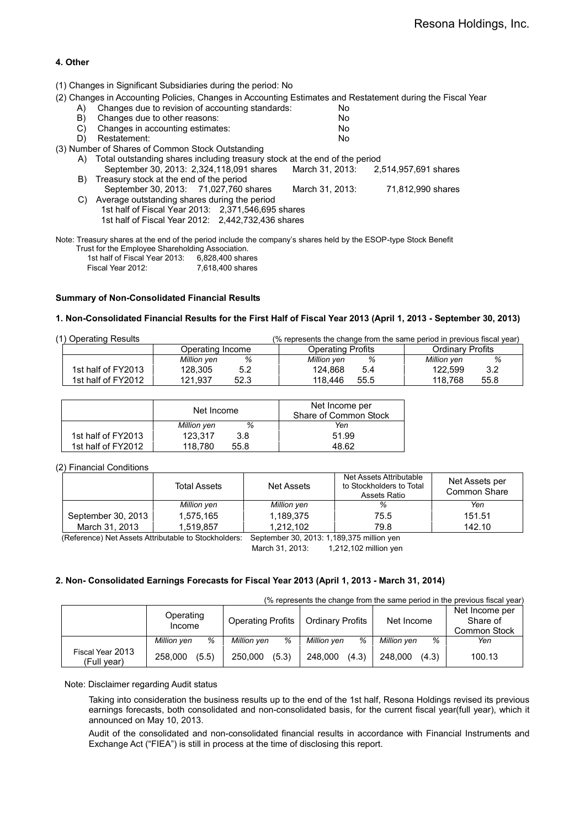## **4. Other**

(1) Changes in Significant Subsidiaries during the period: No

(2) Changes in Accounting Policies, Changes in Accounting Estimates and Restatement during the Fiscal Year

| A) | Changes due to revision of accounting standards:                                                                | No.             |                      |
|----|-----------------------------------------------------------------------------------------------------------------|-----------------|----------------------|
| B) | Changes due to other reasons:                                                                                   | No.             |                      |
| C) | Changes in accounting estimates:                                                                                | No.             |                      |
| D) | Restatement:                                                                                                    | No              |                      |
|    | (3) Number of Shares of Common Stock Outstanding                                                                |                 |                      |
|    | A) Total outstanding shares including treasury stock at the end of the period                                   |                 |                      |
|    | September 30, 2013: 2,324, 118, 091 shares                                                                      | March 31, 2013: | 2,514,957,691 shares |
|    | B) Treasury stock at the end of the period                                                                      |                 |                      |
|    | September 30, 2013: 71,027,760 shares                                                                           | March 31, 2013: | 71,812,990 shares    |
| C) | Average outstanding shares during the period                                                                    |                 |                      |
|    | 1st half of Fiscal Year 2013: 2,371,546,695 shares                                                              |                 |                      |
|    | 1st half of Fiscal Year 2012: 2,442,732,436 shares                                                              |                 |                      |
|    |                                                                                                                 |                 |                      |
|    | Note: Treasury shares at the end of the period include the company's shares held by the ESOP-type Stock Benefit |                 |                      |

| Trust for the Employee Shareholding Association. |                  |
|--------------------------------------------------|------------------|
| 1st half of Fiscal Year 2013:                    | 6,828,400 shares |
| Fiscal Year 2012:                                | 7.618.400 shares |

#### **Summary of Non-Consolidated Financial Results**

#### **1. Non-Consolidated Financial Results for the First Half of Fiscal Year 2013 (April 1, 2013 - September 30, 2013)**

| (1) Operating Results |                    |                  | (% represents the change from the same period in previous fiscal year) |                         |  |  |
|-----------------------|--------------------|------------------|------------------------------------------------------------------------|-------------------------|--|--|
|                       |                    | Operating Income | <b>Operating Profits</b>                                               | <b>Ordinary Profits</b> |  |  |
|                       |                    | %<br>Million yen | Million yen<br>%                                                       | %<br>Million yen        |  |  |
|                       | 1st half of FY2013 | 128,305<br>5.2   | 124.868<br>5.4                                                         | 122.599<br>3.2          |  |  |
|                       | 1st half of FY2012 | 121.937<br>52.3  | 118.446<br>55.5                                                        | 118.768<br>55.8         |  |  |

|                    | Net Income  |      | Net Income per<br>Share of Common Stock |
|--------------------|-------------|------|-----------------------------------------|
|                    | Million yen | %    | Yen                                     |
| 1st half of FY2013 | 123.317     | 3.8  | 51.99                                   |
| 1st half of FY2012 | 118.780     | 55.8 | 48.62                                   |

#### (2) Financial Conditions

|                    | Total Assets | Net Assets  | Net Assets Attributable<br>to Stockholders to Total<br>Assets Ratio | Net Assets per<br>Common Share |
|--------------------|--------------|-------------|---------------------------------------------------------------------|--------------------------------|
|                    | Million yen  | Million yen | %                                                                   | Yen                            |
| September 30, 2013 | 1.575.165    | 1,189,375   | 75.5                                                                | 151.51                         |
| March 31, 2013     | 1.519.857    | 1.212.102   | 79.8                                                                | 142.10                         |

(Reference) Net Assets Attributable to Stockholders: September 30, 2013: 1,189,375 million yen

March 31, 2013: 1,212,102 million yen

#### **2. Non- Consolidated Earnings Forecasts for Fiscal Year 2013 (April 1, 2013 - March 31, 2014)**

(% represents the change from the same period in the previous fiscal year)

|                                 | Operating<br>Income | <b>Operating Profits</b> | <b>Ordinary Profits</b> | Net Income       | Net Income per<br>Share of<br>Common Stock |
|---------------------------------|---------------------|--------------------------|-------------------------|------------------|--------------------------------------------|
|                                 | %<br>Million ven    | %<br>Million yen         | %<br>Million yen        | %<br>Million yen | Yen                                        |
| Fiscal Year 2013<br>(Full year) | (5.5)<br>258,000    | (5.3)<br>250,000         | (4.3)<br>248,000        | (4.3)<br>248.000 | 100.13                                     |

Note: Disclaimer regarding Audit status

Taking into consideration the business results up to the end of the 1st half, Resona Holdings revised its previous earnings forecasts, both consolidated and non-consolidated basis, for the current fiscal year(full year), which it announced on May 10, 2013.

Audit of the consolidated and non-consolidated financial results in accordance with Financial Instruments and Exchange Act ("FIEA") is still in process at the time of disclosing this report.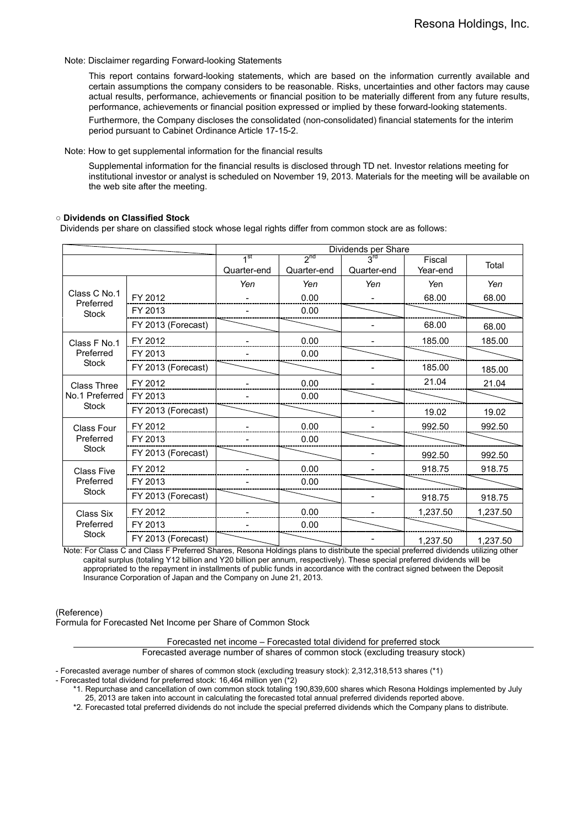#### Note: Disclaimer regarding Forward-looking Statements

This report contains forward-looking statements, which are based on the information currently available and certain assumptions the company considers to be reasonable. Risks, uncertainties and other factors may cause actual results, performance, achievements or financial position to be materially different from any future results, performance, achievements or financial position expressed or implied by these forward-looking statements.

Furthermore, the Company discloses the consolidated (non-consolidated) financial statements for the interim period pursuant to Cabinet Ordinance Article 17-15-2.

Note: How to get supplemental information for the financial results

Supplemental information for the financial results is disclosed through TD net. Investor relations meeting for institutional investor or analyst is scheduled on November 19, 2013. Materials for the meeting will be available on the web site after the meeting.

#### **○ Dividends on Classified Stock**

Dividends per share on classified stock whose legal rights differ from common stock are as follows:

|                           |                    | Dividends per Share            |                         |                                |                    |          |  |
|---------------------------|--------------------|--------------------------------|-------------------------|--------------------------------|--------------------|----------|--|
|                           |                    | 1 <sup>st</sup><br>Quarter-end | $2^{nd}$<br>Quarter-end | $3^{\text{rd}}$<br>Quarter-end | Fiscal<br>Year-end | Total    |  |
|                           |                    | Yen                            | Yen                     | Yen                            | Yen                | Yen      |  |
| Class C No.1<br>Preferred | FY 2012            |                                | 0.00                    |                                | 68.00              | 68.00    |  |
| Stock                     | FY 2013            |                                | 0.00                    |                                |                    |          |  |
|                           | FY 2013 (Forecast) |                                |                         |                                | 68.00              | 68.00    |  |
| Class F No.1              | FY 2012            |                                | 0.00                    |                                | 185.00             | 185.00   |  |
| Preferred                 | FY 2013            |                                | 0.00                    |                                |                    |          |  |
| <b>Stock</b>              | FY 2013 (Forecast) |                                |                         |                                | 185.00             | 185.00   |  |
| <b>Class Three</b>        | FY 2012            |                                | 0.00                    |                                | 21.04              | 21.04    |  |
| No.1 Preferred            | FY 2013            |                                | 0.00                    |                                |                    |          |  |
| <b>Stock</b>              | FY 2013 (Forecast) |                                |                         |                                | 19.02              | 19.02    |  |
| Class Four                | FY 2012            |                                | 0.00                    |                                | 992.50             | 992.50   |  |
| Preferred                 | FY 2013            |                                | 0.00                    |                                |                    |          |  |
| <b>Stock</b>              | FY 2013 (Forecast) |                                |                         |                                | 992.50             | 992.50   |  |
| <b>Class Five</b>         | FY 2012            |                                | 0.00                    |                                | 918.75             | 918.75   |  |
| Preferred                 | FY 2013            |                                | 0.00                    |                                |                    |          |  |
| Stock                     | FY 2013 (Forecast) |                                |                         |                                | 918.75             | 918.75   |  |
| Class Six                 | FY 2012            |                                | 0.00                    |                                | 1,237.50           | 1,237.50 |  |
| Preferred                 | FY 2013            |                                | 0.00                    |                                |                    |          |  |
| <b>Stock</b>              | FY 2013 (Forecast) |                                |                         |                                | 1,237.50           | 1,237.50 |  |

Note: For Class C and Class F Preferred Shares, Resona Holdings plans to distribute the special preferred dividends utilizing other capital surplus (totaling Y12 billion and Y20 billion per annum, respectively). These special preferred dividends will be appropriated to the repayment in installments of public funds in accordance with the contract signed between the Deposit Insurance Corporation of Japan and the Company on June 21, 2013.

(Reference)

Formula for Forecasted Net Income per Share of Common Stock

Forecasted net income – Forecasted total dividend for preferred stock Forecasted average number of shares of common stock (excluding treasury stock)

- Forecasted average number of shares of common stock (excluding treasury stock): 2,312,318,513 shares (\*1)

- Forecasted total dividend for preferred stock: 16,464 million yen (\*2)

\*1. Repurchase and cancellation of own common stock totaling 190,839,600 shares which Resona Holdings implemented by July 25, 2013 are taken into account in calculating the forecasted total annual preferred dividends reported above.

\*2. Forecasted total preferred dividends do not include the special preferred dividends which the Company plans to distribute.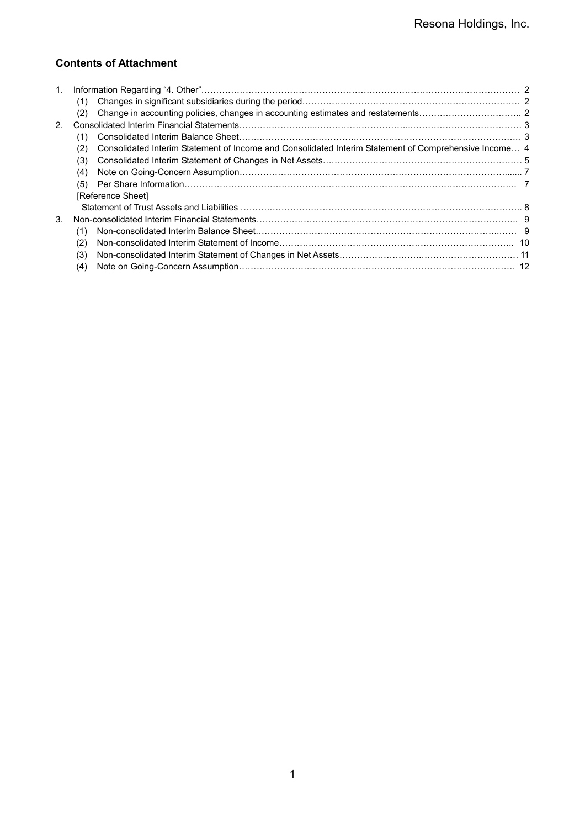# **Contents of Attachment**

| 1.             |                                                                                                              |  |
|----------------|--------------------------------------------------------------------------------------------------------------|--|
|                | (1)                                                                                                          |  |
|                | (2)                                                                                                          |  |
| 2 <sub>1</sub> |                                                                                                              |  |
|                | (1)                                                                                                          |  |
|                | Consolidated Interim Statement of Income and Consolidated Interim Statement of Comprehensive Income 4<br>(2) |  |
|                | (3)                                                                                                          |  |
|                | (4)                                                                                                          |  |
|                | (5)                                                                                                          |  |
|                | [Reference Sheet]                                                                                            |  |
|                |                                                                                                              |  |
| 3.             |                                                                                                              |  |
|                | (1)                                                                                                          |  |
|                | (2)                                                                                                          |  |
|                | (3)                                                                                                          |  |
|                | (4)                                                                                                          |  |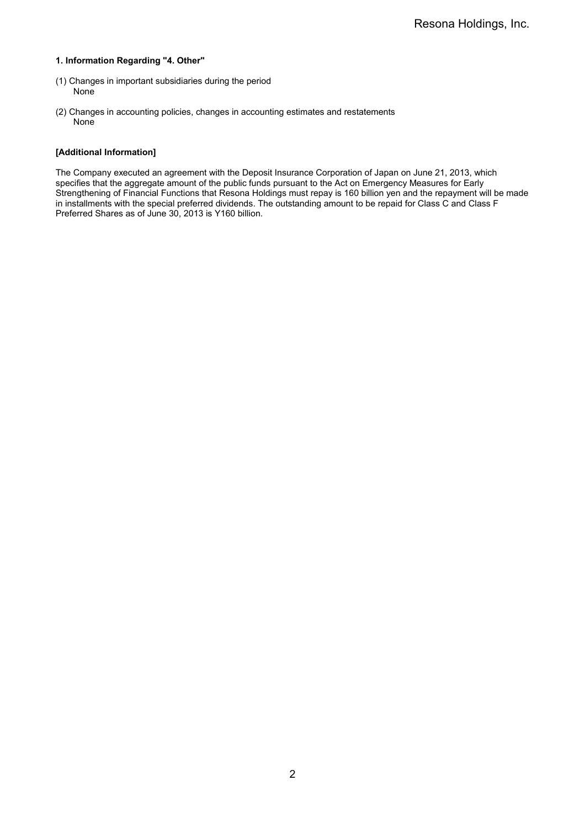#### **1. Information Regarding "4. Other"**

- (1) Changes in important subsidiaries during the period None
- (2) Changes in accounting policies, changes in accounting estimates and restatements None

#### **[Additional Information]**

The Company executed an agreement with the Deposit Insurance Corporation of Japan on June 21, 2013, which specifies that the aggregate amount of the public funds pursuant to the Act on Emergency Measures for Early Strengthening of Financial Functions that Resona Holdings must repay is 160 billion yen and the repayment will be made in installments with the special preferred dividends. The outstanding amount to be repaid for Class C and Class F Preferred Shares as of June 30, 2013 is Y160 billion.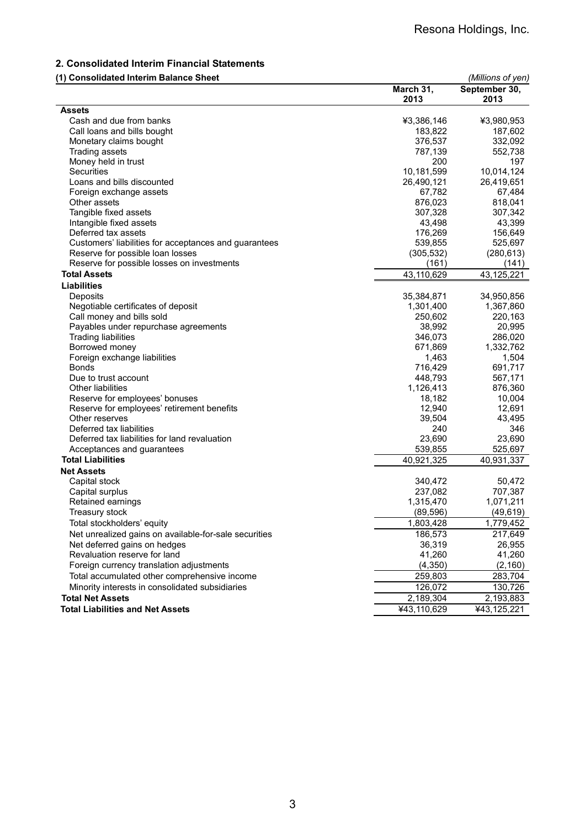# **2. Consolidated Interim Financial Statements**

## **(1) Consolidated Interim Balance Sheet** *(Millions of yen)*

|                                                       | March 31,   | September 30, |
|-------------------------------------------------------|-------------|---------------|
|                                                       | 2013        | 2013          |
| <b>Assets</b>                                         |             |               |
| Cash and due from banks                               | ¥3,386,146  | ¥3,980,953    |
| Call loans and bills bought                           | 183,822     | 187,602       |
| Monetary claims bought                                | 376,537     | 332,092       |
| Trading assets                                        | 787,139     | 552,738       |
| Money held in trust                                   | 200         | 197           |
| Securities                                            | 10,181,599  | 10,014,124    |
| Loans and bills discounted                            | 26,490,121  | 26,419,651    |
| Foreign exchange assets                               | 67,782      | 67,484        |
| Other assets                                          | 876,023     | 818,041       |
| Tangible fixed assets                                 | 307,328     | 307,342       |
| Intangible fixed assets                               | 43,498      | 43,399        |
| Deferred tax assets                                   | 176,269     | 156,649       |
| Customers' liabilities for acceptances and guarantees | 539,855     | 525,697       |
| Reserve for possible loan losses                      | (305, 532)  | (280, 613)    |
| Reserve for possible losses on investments            | (161)       | (141)         |
| <b>Total Assets</b>                                   | 43,110,629  | 43,125,221    |
| <b>Liabilities</b>                                    |             |               |
| Deposits                                              | 35,384,871  | 34,950,856    |
| Negotiable certificates of deposit                    | 1,301,400   | 1,367,860     |
| Call money and bills sold                             | 250,602     | 220,163       |
| Payables under repurchase agreements                  | 38,992      | 20,995        |
| <b>Trading liabilities</b>                            | 346,073     | 286,020       |
| Borrowed money                                        | 671,869     | 1,332,762     |
| Foreign exchange liabilities                          | 1,463       | 1,504         |
| <b>Bonds</b>                                          | 716,429     | 691,717       |
| Due to trust account                                  | 448,793     | 567,171       |
| Other liabilities                                     | 1,126,413   | 876,360       |
| Reserve for employees' bonuses                        | 18,182      | 10,004        |
| Reserve for employees' retirement benefits            | 12,940      | 12,691        |
| Other reserves                                        | 39,504      | 43,495        |
| Deferred tax liabilities                              | 240         | 346           |
| Deferred tax liabilities for land revaluation         | 23,690      | 23,690        |
|                                                       |             |               |
| Acceptances and guarantees                            | 539,855     | 525,697       |
| <b>Total Liabilities</b>                              | 40,921,325  | 40,931,337    |
| <b>Net Assets</b>                                     |             |               |
| Capital stock                                         | 340,472     | 50,472        |
| Capital surplus                                       | 237,082     | 707,387       |
| Retained earnings                                     | 1,315,470   | 1,071,211     |
| Treasury stock                                        | (89, 596)   | (49, 619)     |
| Total stockholders' equity                            | 1,803,428   | 1,779,452     |
| Net unrealized gains on available-for-sale securities | 186,573     | 217,649       |
| Net deferred gains on hedges                          | 36,319      | 26,955        |
| Revaluation reserve for land                          | 41,260      | 41,260        |
| Foreign currency translation adjustments              | (4, 350)    | (2, 160)      |
| Total accumulated other comprehensive income          | 259,803     | 283,704       |
| Minority interests in consolidated subsidiaries       | 126,072     | 130,726       |
| <b>Total Net Assets</b>                               | 2,189,304   | 2,193,883     |
| <b>Total Liabilities and Net Assets</b>               | ¥43,110,629 | ¥43,125,221   |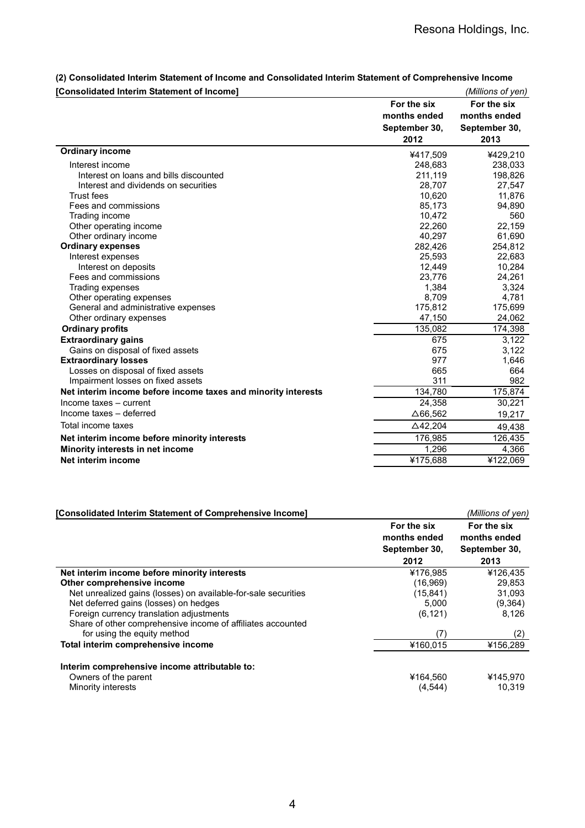| [Consolidated Interim Statement of Income]                    |                 | (Millions of yen) |
|---------------------------------------------------------------|-----------------|-------------------|
|                                                               | For the six     | For the six       |
|                                                               | months ended    | months ended      |
|                                                               | September 30,   | September 30,     |
|                                                               | 2012            | 2013              |
| <b>Ordinary income</b>                                        | ¥417,509        | ¥429,210          |
| Interest income                                               | 248,683         | 238,033           |
| Interest on loans and bills discounted                        | 211,119         | 198,826           |
| Interest and dividends on securities                          | 28,707          | 27,547            |
| <b>Trust fees</b>                                             | 10,620          | 11,876            |
| Fees and commissions                                          | 85,173          | 94,890            |
| Trading income                                                | 10,472          | 560               |
| Other operating income                                        | 22,260          | 22,159            |
| Other ordinary income                                         | 40,297          | 61,690            |
| <b>Ordinary expenses</b>                                      | 282,426         | 254,812           |
| Interest expenses                                             | 25,593          | 22,683            |
| Interest on deposits                                          | 12,449          | 10,284            |
| Fees and commissions                                          | 23,776          | 24,261            |
| Trading expenses                                              | 1,384           | 3,324             |
| Other operating expenses                                      | 8,709           | 4,781             |
| General and administrative expenses                           | 175,812         | 175,699           |
| Other ordinary expenses                                       | 47,150          | 24,062            |
| <b>Ordinary profits</b>                                       | 135,082         | 174,398           |
| <b>Extraordinary gains</b>                                    | 675             | 3,122             |
| Gains on disposal of fixed assets                             | 675             | 3,122             |
| <b>Extraordinary losses</b>                                   | 977             | 1,646             |
| Losses on disposal of fixed assets                            | 665             | 664               |
| Impairment losses on fixed assets                             | 311             | 982               |
| Net interim income before income taxes and minority interests | 134,780         | 175,874           |
| Income taxes - current                                        | 24,358          | 30,221            |
| Income taxes - deferred                                       | $\Delta$ 66,562 | 19,217            |
| Total income taxes                                            | $\Delta$ 42,204 | 49,438            |
| Net interim income before minority interests                  | 176,985         | 126,435           |
| Minority interests in net income                              | 1,296           | 4,366             |
| Net interim income                                            | ¥175,688        | ¥122,069          |
|                                                               |                 |                   |

**(2) Consolidated Interim Statement of Income and Consolidated Interim Statement of Comprehensive Income**

| [Consolidated Interim Statement of Comprehensive Income]       |               | (Millions of yen) |
|----------------------------------------------------------------|---------------|-------------------|
|                                                                | For the six   | For the six       |
|                                                                | months ended  | months ended      |
|                                                                | September 30, | September 30,     |
|                                                                | 2012          | 2013              |
| Net interim income before minority interests                   | ¥176.985      | ¥126,435          |
| Other comprehensive income                                     | (16,969)      | 29,853            |
| Net unrealized gains (losses) on available-for-sale securities | (15, 841)     | 31,093            |
| Net deferred gains (losses) on hedges                          | 5,000         | (9,364)           |
| Foreign currency translation adjustments                       | (6, 121)      | 8,126             |
| Share of other comprehensive income of affiliates accounted    |               |                   |
| for using the equity method                                    | (7)           | (2)               |
| Total interim comprehensive income                             | ¥160.015      | ¥156,289          |
| Interim comprehensive income attributable to:                  |               |                   |
| Owners of the parent                                           | ¥164,560      | ¥145.970          |
| Minority interests                                             | (4, 544)      | 10.319            |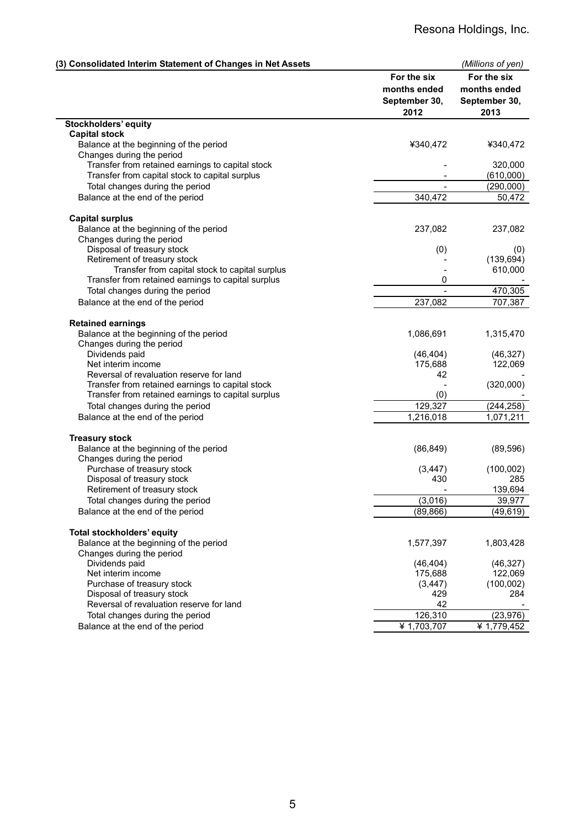| (3) Consolidated Interim Statement of Changes in Net Assets |                       | (Millions of yen)     |
|-------------------------------------------------------------|-----------------------|-----------------------|
|                                                             | For the six           | For the six           |
|                                                             | months ended          | months ended          |
|                                                             | September 30,<br>2012 | September 30,<br>2013 |
| Stockholders' equity                                        |                       |                       |
| <b>Capital stock</b>                                        |                       |                       |
| Balance at the beginning of the period                      | ¥340,472              | ¥340,472              |
| Changes during the period                                   |                       |                       |
| Transfer from retained earnings to capital stock            |                       | 320,000               |
| Transfer from capital stock to capital surplus              |                       | (610,000)             |
| Total changes during the period                             |                       | (290,000)             |
| Balance at the end of the period                            | 340,472               | 50,472                |
| <b>Capital surplus</b>                                      |                       |                       |
| Balance at the beginning of the period                      | 237,082               | 237,082               |
| Changes during the period                                   |                       |                       |
| Disposal of treasury stock                                  | (0)                   | (0)                   |
| Retirement of treasury stock                                |                       | (139, 694)            |
| Transfer from capital stock to capital surplus              |                       | 610,000               |
| Transfer from retained earnings to capital surplus          | 0                     |                       |
| Total changes during the period                             |                       | 470,305               |
| Balance at the end of the period                            | 237,082               | 707,387               |
| <b>Retained earnings</b>                                    |                       |                       |
| Balance at the beginning of the period                      | 1,086,691             | 1,315,470             |
| Changes during the period                                   |                       |                       |
| Dividends paid                                              | (46, 404)             | (46, 327)             |
| Net interim income                                          | 175,688               | 122,069               |
| Reversal of revaluation reserve for land                    | 42                    |                       |
| Transfer from retained earnings to capital stock            |                       | (320,000)             |
| Transfer from retained earnings to capital surplus          | (0)                   |                       |
| Total changes during the period                             | 129,327               | (244, 258)            |
| Balance at the end of the period                            | 1,216,018             | 1,071,211             |
| <b>Treasury stock</b>                                       |                       |                       |
| Balance at the beginning of the period                      | (86, 849)             | (89, 596)             |
| Changes during the period                                   |                       |                       |
| Purchase of treasury stock                                  | (3, 447)              | (100,002)             |
| Disposal of treasury stock                                  | 430                   | 285                   |
| Retirement of treasury stock                                |                       | 139,694               |
| Total changes during the period                             | (3,016)               | 39,977                |
| Balance at the end of the period                            | (89, 866)             | (49, 619)             |
| Total stockholders' equity                                  |                       |                       |
| Balance at the beginning of the period                      | 1,577,397             | 1,803,428             |
| Changes during the period                                   |                       |                       |
| Dividends paid                                              | (46, 404)             | (46, 327)             |
| Net interim income                                          | 175,688               | 122,069               |
| Purchase of treasury stock<br>Disposal of treasury stock    | (3, 447)<br>429       | (100,002)             |
| Reversal of revaluation reserve for land                    | 42                    | 284                   |
| Total changes during the period                             | 126,310               | (23, 976)             |
|                                                             |                       |                       |
| Balance at the end of the period                            | ¥ 1,703,707           | ¥ 1,779,452           |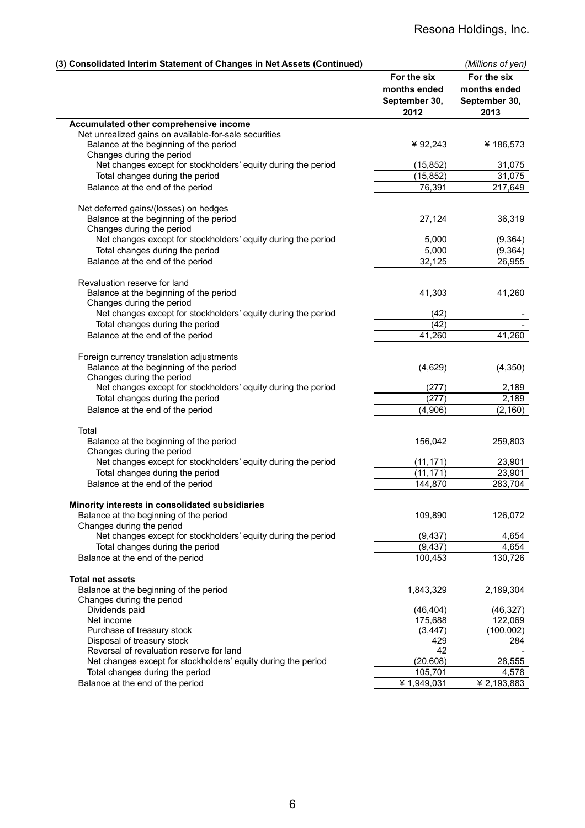| (3) Consolidated Interim Statement of Changes in Net Assets (Continued)                    |                                                      | (Millions of yen)                                    |
|--------------------------------------------------------------------------------------------|------------------------------------------------------|------------------------------------------------------|
|                                                                                            | For the six<br>months ended<br>September 30,<br>2012 | For the six<br>months ended<br>September 30,<br>2013 |
| Accumulated other comprehensive income                                                     |                                                      |                                                      |
| Net unrealized gains on available-for-sale securities                                      |                                                      |                                                      |
| Balance at the beginning of the period                                                     | ¥ 92,243                                             | ¥186,573                                             |
| Changes during the period<br>Net changes except for stockholders' equity during the period | (15, 852)                                            | 31,075                                               |
| Total changes during the period                                                            | (15, 852)                                            | 31,075                                               |
| Balance at the end of the period                                                           | 76,391                                               | 217,649                                              |
|                                                                                            |                                                      |                                                      |
| Net deferred gains/(losses) on hedges                                                      |                                                      |                                                      |
| Balance at the beginning of the period                                                     | 27,124                                               | 36,319                                               |
| Changes during the period<br>Net changes except for stockholders' equity during the period | 5,000                                                | (9, 364)                                             |
| Total changes during the period                                                            | 5,000                                                | (9, 364)                                             |
| Balance at the end of the period                                                           | 32,125                                               | 26,955                                               |
|                                                                                            |                                                      |                                                      |
| Revaluation reserve for land                                                               |                                                      |                                                      |
| Balance at the beginning of the period                                                     | 41,303                                               | 41,260                                               |
| Changes during the period                                                                  |                                                      |                                                      |
| Net changes except for stockholders' equity during the period                              | (42)                                                 |                                                      |
| Total changes during the period                                                            | (42)                                                 |                                                      |
| Balance at the end of the period                                                           | 41,260                                               | 41,260                                               |
| Foreign currency translation adjustments                                                   |                                                      |                                                      |
| Balance at the beginning of the period                                                     | (4,629)                                              | (4,350)                                              |
| Changes during the period                                                                  |                                                      |                                                      |
| Net changes except for stockholders' equity during the period                              | (277)                                                | 2,189                                                |
| Total changes during the period                                                            | (277)                                                | 2,189                                                |
| Balance at the end of the period                                                           | (4,906)                                              | (2, 160)                                             |
| Total                                                                                      |                                                      |                                                      |
| Balance at the beginning of the period                                                     | 156,042                                              | 259,803                                              |
| Changes during the period                                                                  |                                                      |                                                      |
| Net changes except for stockholders' equity during the period                              | (11, 171)                                            | 23,901                                               |
| Total changes during the period                                                            | (11, 171)                                            | 23,901                                               |
| Balance at the end of the period                                                           | 144,870                                              | 283,704                                              |
|                                                                                            |                                                      |                                                      |
| Minority interests in consolidated subsidiaries<br>Balance at the beginning of the period  | 109,890                                              | 126,072                                              |
| Changes during the period                                                                  |                                                      |                                                      |
| Net changes except for stockholders' equity during the period                              | (9, 437)                                             | 4,654                                                |
| Total changes during the period                                                            | (9, 437)                                             | 4,654                                                |
| Balance at the end of the period                                                           | 100,453                                              | 130,726                                              |
|                                                                                            |                                                      |                                                      |
| <b>Total net assets</b>                                                                    |                                                      |                                                      |
| Balance at the beginning of the period<br>Changes during the period                        | 1,843,329                                            | 2,189,304                                            |
| Dividends paid                                                                             | (46, 404)                                            | (46, 327)                                            |
| Net income                                                                                 | 175,688                                              | 122,069                                              |
| Purchase of treasury stock                                                                 | (3, 447)                                             | (100,002)                                            |
| Disposal of treasury stock                                                                 | 429                                                  | 284                                                  |
| Reversal of revaluation reserve for land                                                   | 42                                                   |                                                      |
| Net changes except for stockholders' equity during the period                              | (20, 608)                                            | 28,555                                               |
| Total changes during the period                                                            | 105,701                                              | 4,578                                                |
| Balance at the end of the period                                                           | ¥ 1,949,031                                          | $\frac{1}{4}$ 2,193,883                              |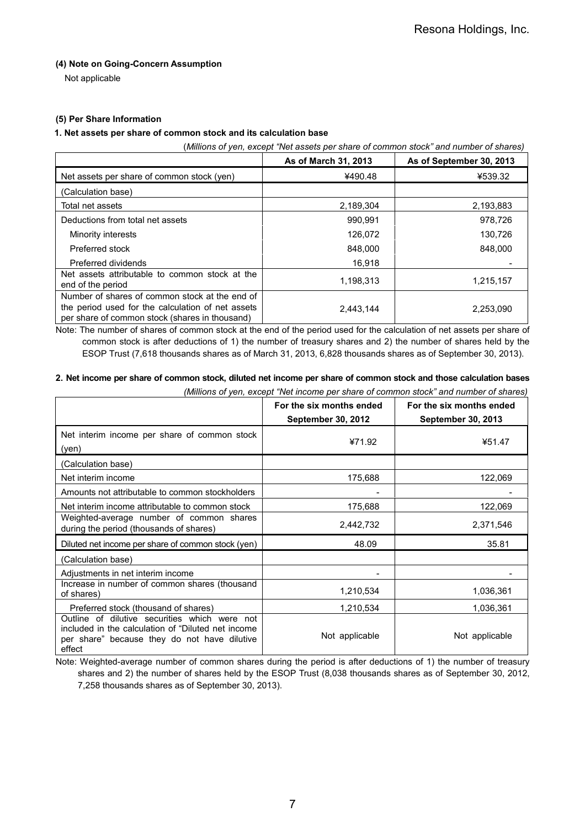## **(4) Note on Going-Concern Assumption**

Not applicable

## **(5) Per Share Information**

## **1. Net assets per share of common stock and its calculation base**

(*Millions of yen, except "Net assets per share of common stock" and number of shares)*

|                                                                                                                                                       | As of March 31, 2013 | As of September 30, 2013 |
|-------------------------------------------------------------------------------------------------------------------------------------------------------|----------------------|--------------------------|
| Net assets per share of common stock (yen)                                                                                                            | ¥490.48              | ¥539.32                  |
| (Calculation base)                                                                                                                                    |                      |                          |
| Total net assets                                                                                                                                      | 2,189,304            | 2,193,883                |
| Deductions from total net assets                                                                                                                      | 990,991              | 978,726                  |
| Minority interests                                                                                                                                    | 126,072              | 130,726                  |
| Preferred stock                                                                                                                                       | 848,000              | 848,000                  |
| Preferred dividends                                                                                                                                   | 16,918               |                          |
| Net assets attributable to common stock at the<br>end of the period                                                                                   | 1,198,313            | 1,215,157                |
| Number of shares of common stock at the end of<br>the period used for the calculation of net assets<br>per share of common stock (shares in thousand) | 2,443,144            | 2,253,090                |

Note: The number of shares of common stock at the end of the period used for the calculation of net assets per share of common stock is after deductions of 1) the number of treasury shares and 2) the number of shares held by the ESOP Trust (7,618 thousands shares as of March 31, 2013, 6,828 thousands shares as of September 30, 2013).

# **2. Net income per share of common stock, diluted net income per share of common stock and those calculation bases**

*(Millions of yen, except "Net income per share of common stock" and number of shares)*

|                                                                                                                                                               | For the six months ended<br><b>September 30, 2012</b> | For the six months ended<br><b>September 30, 2013</b> |
|---------------------------------------------------------------------------------------------------------------------------------------------------------------|-------------------------------------------------------|-------------------------------------------------------|
| Net interim income per share of common stock<br>(yen)                                                                                                         | ¥71.92                                                | ¥51.47                                                |
| (Calculation base)                                                                                                                                            |                                                       |                                                       |
| Net interim income                                                                                                                                            | 175,688                                               | 122,069                                               |
| Amounts not attributable to common stockholders                                                                                                               |                                                       |                                                       |
| Net interim income attributable to common stock                                                                                                               | 175,688                                               | 122,069                                               |
| Weighted-average number of common shares<br>during the period (thousands of shares)                                                                           | 2,442,732                                             | 2,371,546                                             |
| Diluted net income per share of common stock (yen)                                                                                                            | 48.09                                                 | 35.81                                                 |
| (Calculation base)                                                                                                                                            |                                                       |                                                       |
| Adjustments in net interim income                                                                                                                             |                                                       |                                                       |
| Increase in number of common shares (thousand<br>of shares)                                                                                                   | 1,210,534                                             | 1,036,361                                             |
| Preferred stock (thousand of shares)                                                                                                                          | 1,210,534                                             | 1,036,361                                             |
| Outline of dilutive securities which were not<br>included in the calculation of "Diluted net income<br>per share" because they do not have dilutive<br>effect | Not applicable                                        | Not applicable                                        |

Note: Weighted-average number of common shares during the period is after deductions of 1) the number of treasury shares and 2) the number of shares held by the ESOP Trust (8,038 thousands shares as of September 30, 2012, 7,258 thousands shares as of September 30, 2013).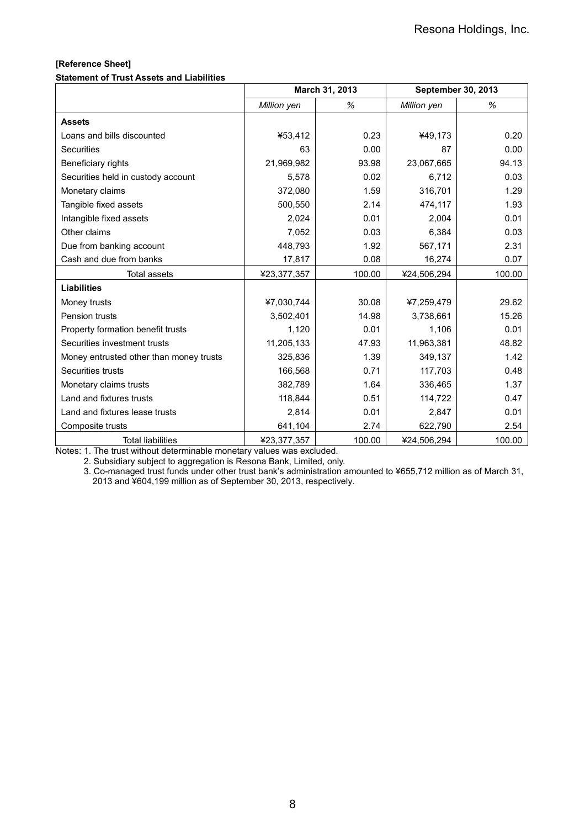# **[Reference Sheet]**

#### **Statement of Trust Assets and Liabilities**

|                                         | March 31, 2013 |        | <b>September 30, 2013</b> |        |
|-----------------------------------------|----------------|--------|---------------------------|--------|
|                                         | Million yen    | %      | Million yen               | ℅      |
| <b>Assets</b>                           |                |        |                           |        |
| Loans and bills discounted              | ¥53,412        | 0.23   | ¥49,173                   | 0.20   |
| <b>Securities</b>                       | 63             | 0.00   | 87                        | 0.00   |
| Beneficiary rights                      | 21,969,982     | 93.98  | 23,067,665                | 94.13  |
| Securities held in custody account      | 5,578          | 0.02   | 6,712                     | 0.03   |
| Monetary claims                         | 372.080        | 1.59   | 316,701                   | 1.29   |
| Tangible fixed assets                   | 500,550        | 2.14   | 474,117                   | 1.93   |
| Intangible fixed assets                 | 2,024          | 0.01   | 2,004                     | 0.01   |
| Other claims                            | 7,052          | 0.03   | 6,384                     | 0.03   |
| Due from banking account                | 448,793        | 1.92   | 567,171                   | 2.31   |
| Cash and due from banks                 | 17,817         | 0.08   | 16,274                    | 0.07   |
| <b>Total assets</b>                     | ¥23,377,357    | 100.00 | ¥24,506,294               | 100.00 |
| <b>Liabilities</b>                      |                |        |                           |        |
| Money trusts                            | ¥7,030,744     | 30.08  | ¥7,259,479                | 29.62  |
| Pension trusts                          | 3,502,401      | 14.98  | 3,738,661                 | 15.26  |
| Property formation benefit trusts       | 1,120          | 0.01   | 1.106                     | 0.01   |
| Securities investment trusts            | 11,205,133     | 47.93  | 11,963,381                | 48.82  |
| Money entrusted other than money trusts | 325,836        | 1.39   | 349,137                   | 1.42   |
| Securities trusts                       | 166,568        | 0.71   | 117,703                   | 0.48   |
| Monetary claims trusts                  | 382,789        | 1.64   | 336,465                   | 1.37   |
| Land and fixtures trusts                | 118,844        | 0.51   | 114,722                   | 0.47   |
| Land and fixtures lease trusts          | 2,814          | 0.01   | 2,847                     | 0.01   |
| Composite trusts                        | 641,104        | 2.74   | 622,790                   | 2.54   |
| <b>Total liabilities</b>                | ¥23,377,357    | 100.00 | ¥24,506,294               | 100.00 |

Notes: 1. The trust without determinable monetary values was excluded.

2. Subsidiary subject to aggregation is Resona Bank, Limited, only.

3. Co-managed trust funds under other trust bank's administration amounted to ¥655,712 million as of March 31, 2013 and ¥604,199 million as of September 30, 2013, respectively.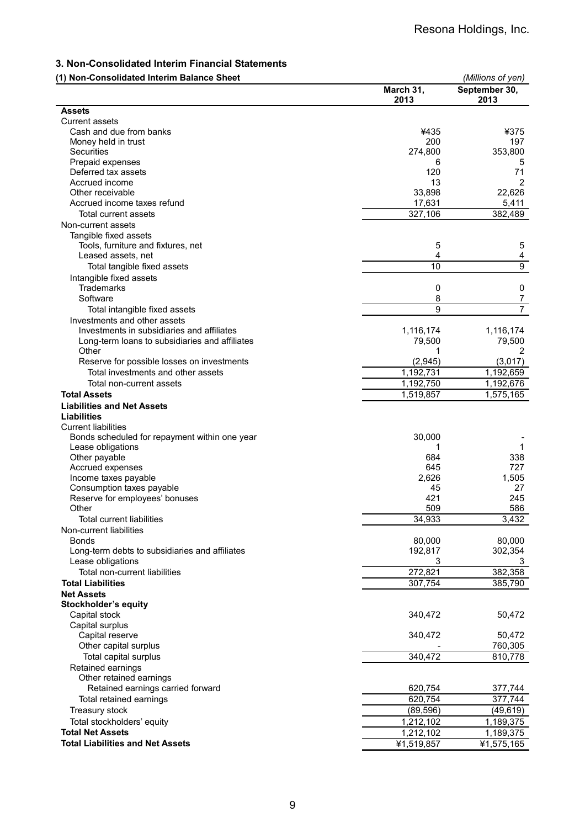# **3. Non-Consolidated Interim Financial Statements**

| (1) Non-Consolidated Interim Balance Sheet                  | March 31,<br>2013 | (Millions of yen)<br>September 30,<br>2013 |
|-------------------------------------------------------------|-------------------|--------------------------------------------|
| <b>Assets</b>                                               |                   |                                            |
| <b>Current assets</b>                                       |                   |                                            |
| Cash and due from banks                                     | ¥435              | ¥375                                       |
| Money held in trust                                         | 200               | 197                                        |
| Securities                                                  | 274,800           | 353,800                                    |
| Prepaid expenses                                            | 6                 | 5                                          |
| Deferred tax assets                                         | 120               | 71                                         |
| Accrued income                                              | 13                | 2                                          |
| Other receivable<br>Accrued income taxes refund             | 33,898            | 22,626                                     |
|                                                             | 17,631            | 5,411                                      |
| Total current assets                                        | 327,106           | 382,489                                    |
| Non-current assets                                          |                   |                                            |
| Tangible fixed assets<br>Tools, furniture and fixtures, net | 5                 | 5                                          |
| Leased assets, net                                          | 4                 | 4                                          |
| Total tangible fixed assets                                 | 10                | $\overline{9}$                             |
| Intangible fixed assets                                     |                   |                                            |
| <b>Trademarks</b>                                           | 0                 | 0                                          |
| Software                                                    | 8                 | 7                                          |
| Total intangible fixed assets                               | 9                 | $\overline{7}$                             |
| Investments and other assets                                |                   |                                            |
| Investments in subsidiaries and affiliates                  | 1,116,174         | 1,116,174                                  |
| Long-term loans to subsidiaries and affiliates              | 79,500            | 79,500                                     |
| Other                                                       | 1                 | 2                                          |
| Reserve for possible losses on investments                  | (2,945)           | (3,017)                                    |
| Total investments and other assets                          | 1,192,731         | 1,192,659                                  |
| Total non-current assets                                    | 1,192,750         | 1,192,676                                  |
| <b>Total Assets</b>                                         | 1,519,857         | 1,575,165                                  |
| <b>Liabilities and Net Assets</b>                           |                   |                                            |
| Liabilities                                                 |                   |                                            |
| <b>Current liabilities</b>                                  |                   |                                            |
| Bonds scheduled for repayment within one year               | 30,000            |                                            |
| Lease obligations                                           | 1                 | 1                                          |
| Other payable                                               | 684               | 338                                        |
| Accrued expenses                                            | 645               | 727                                        |
| Income taxes payable                                        | 2,626             | 1,505                                      |
| Consumption taxes payable                                   | 45                | 27                                         |
| Reserve for employees' bonuses                              | 421               | 245                                        |
| Other                                                       | 509               | 586                                        |
| Total current liabilities                                   | 34,933            | 3,432                                      |
| Non-current liabilities                                     |                   |                                            |
| <b>Bonds</b>                                                | 80,000            | 80,000                                     |
| Long-term debts to subsidiaries and affiliates              | 192,817           | 302,354                                    |
| Lease obligations                                           | 3                 | 3                                          |
| Total non-current liabilities                               | 272,821           | 382,358                                    |
| <b>Total Liabilities</b>                                    | 307,754           | 385,790                                    |
| <b>Net Assets</b>                                           |                   |                                            |
| Stockholder's equity                                        |                   |                                            |
| Capital stock                                               | 340,472           | 50,472                                     |
| Capital surplus                                             |                   |                                            |
| Capital reserve                                             | 340,472           | 50,472                                     |
| Other capital surplus                                       |                   | 760,305                                    |
| Total capital surplus                                       | 340,472           | 810,778                                    |
| Retained earnings                                           |                   |                                            |
| Other retained earnings                                     |                   |                                            |
| Retained earnings carried forward                           | 620,754           | 377,744                                    |
| Total retained earnings                                     | 620,754           | 377,744                                    |
| Treasury stock                                              | (89, 596)         | (49, 619)                                  |
| Total stockholders' equity                                  | 1,212,102         | $\overline{1,}189,375$                     |
| <b>Total Net Assets</b>                                     | 1,212,102         | 1,189,375                                  |
| <b>Total Liabilities and Net Assets</b>                     | ¥1,519,857        | ¥1,575,165                                 |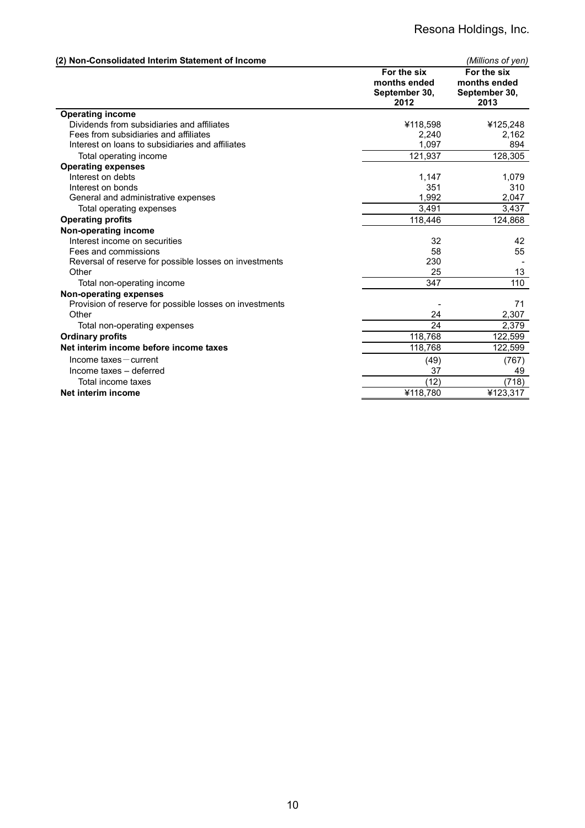| (2) Non-Consolidated Interim Statement of Income        |                                                      | (Millions of yen)                                    |
|---------------------------------------------------------|------------------------------------------------------|------------------------------------------------------|
|                                                         | For the six<br>months ended<br>September 30,<br>2012 | For the six<br>months ended<br>September 30,<br>2013 |
| <b>Operating income</b>                                 |                                                      |                                                      |
| Dividends from subsidiaries and affiliates              | ¥118,598                                             | ¥125,248                                             |
| Fees from subsidiaries and affiliates                   | 2,240                                                | 2,162                                                |
| Interest on loans to subsidiaries and affiliates        | 1,097                                                | 894                                                  |
| Total operating income                                  | 121,937                                              | 128,305                                              |
| <b>Operating expenses</b>                               |                                                      |                                                      |
| Interest on debts                                       | 1,147                                                | 1,079                                                |
| Interest on bonds                                       | 351                                                  | 310                                                  |
| General and administrative expenses                     | 1,992                                                | 2,047                                                |
| Total operating expenses                                | 3,491                                                | 3,437                                                |
| <b>Operating profits</b>                                | 118,446                                              | 124,868                                              |
| Non-operating income                                    |                                                      |                                                      |
| Interest income on securities                           | 32                                                   | 42                                                   |
| Fees and commissions                                    | 58                                                   | 55                                                   |
| Reversal of reserve for possible losses on investments  | 230                                                  |                                                      |
| Other                                                   | 25                                                   | 13                                                   |
| Total non-operating income                              | 347                                                  | 110                                                  |
| <b>Non-operating expenses</b>                           |                                                      |                                                      |
| Provision of reserve for possible losses on investments |                                                      | 71                                                   |
| Other                                                   | 24                                                   | 2,307                                                |
| Total non-operating expenses                            | 24                                                   | 2,379                                                |
| <b>Ordinary profits</b>                                 | 118,768                                              | 122,599                                              |
| Net interim income before income taxes                  | 118,768                                              | 122,599                                              |
| $Income taxes - current$                                | (49)                                                 | (767)                                                |
| Income taxes - deferred                                 | 37                                                   | 49                                                   |
| Total income taxes                                      | (12)                                                 | (718)                                                |
| Net interim income                                      | ¥118,780                                             | ¥123,317                                             |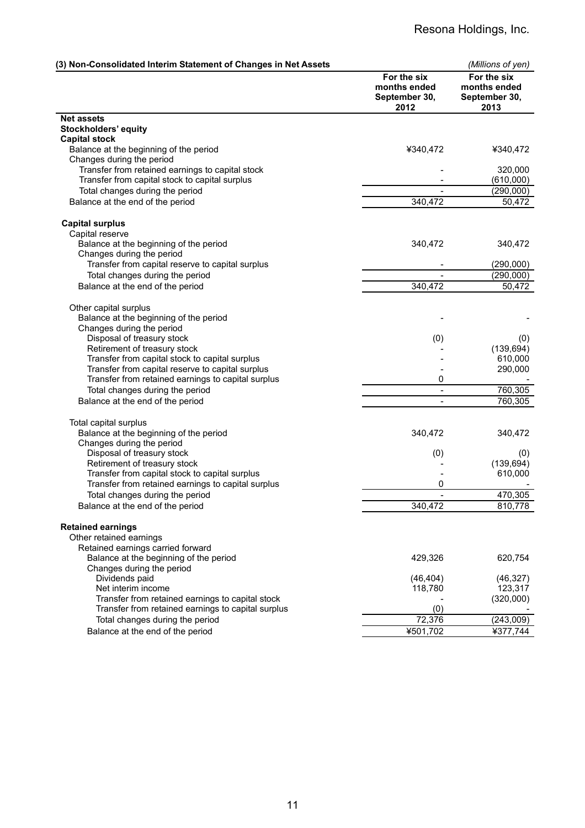| (3) Non-Consolidated Interim Statement of Changes in Net Assets |                                                      | (Millions of yen)                                    |
|-----------------------------------------------------------------|------------------------------------------------------|------------------------------------------------------|
|                                                                 | For the six<br>months ended<br>September 30,<br>2012 | For the six<br>months ended<br>September 30,<br>2013 |
| <b>Net assets</b>                                               |                                                      |                                                      |
| Stockholders' equity                                            |                                                      |                                                      |
| <b>Capital stock</b>                                            |                                                      |                                                      |
| Balance at the beginning of the period                          | ¥340,472                                             | ¥340,472                                             |
| Changes during the period                                       |                                                      |                                                      |
| Transfer from retained earnings to capital stock                |                                                      | 320,000                                              |
| Transfer from capital stock to capital surplus                  |                                                      | (610,000)                                            |
| Total changes during the period                                 | $\overline{a}$                                       | (290,000)                                            |
| Balance at the end of the period                                | 340,472                                              | 50,472                                               |
| <b>Capital surplus</b>                                          |                                                      |                                                      |
| Capital reserve                                                 |                                                      |                                                      |
| Balance at the beginning of the period                          | 340,472                                              | 340,472                                              |
| Changes during the period                                       |                                                      |                                                      |
| Transfer from capital reserve to capital surplus                |                                                      | (290,000)                                            |
| Total changes during the period                                 |                                                      | (290,000)                                            |
| Balance at the end of the period                                | 340,472                                              | 50,472                                               |
|                                                                 |                                                      |                                                      |
| Other capital surplus<br>Balance at the beginning of the period |                                                      |                                                      |
| Changes during the period                                       |                                                      |                                                      |
| Disposal of treasury stock                                      | (0)                                                  | (0)                                                  |
| Retirement of treasury stock                                    |                                                      | (139, 694)                                           |
| Transfer from capital stock to capital surplus                  |                                                      | 610,000                                              |
| Transfer from capital reserve to capital surplus                |                                                      | 290,000                                              |
| Transfer from retained earnings to capital surplus              | 0                                                    |                                                      |
| Total changes during the period                                 | $\frac{1}{2}$                                        | 760,305                                              |
| Balance at the end of the period                                | $\overline{\phantom{a}}$                             | 760,305                                              |
|                                                                 |                                                      |                                                      |
| Total capital surplus                                           |                                                      |                                                      |
| Balance at the beginning of the period                          | 340,472                                              | 340,472                                              |
| Changes during the period<br>Disposal of treasury stock         | (0)                                                  | (0)                                                  |
| Retirement of treasury stock                                    |                                                      | (139, 694)                                           |
| Transfer from capital stock to capital surplus                  |                                                      | 610,000                                              |
| Transfer from retained earnings to capital surplus              | 0                                                    |                                                      |
| Total changes during the period                                 | $\overline{a}$                                       | 470,305                                              |
| Balance at the end of the period                                | 340,472                                              | 810,778                                              |
|                                                                 |                                                      |                                                      |
| <b>Retained earnings</b>                                        |                                                      |                                                      |
| Other retained earnings                                         |                                                      |                                                      |
| Retained earnings carried forward                               |                                                      |                                                      |
| Balance at the beginning of the period                          | 429,326                                              | 620,754                                              |
| Changes during the period<br>Dividends paid                     |                                                      |                                                      |
| Net interim income                                              | (46, 404)<br>118,780                                 | (46, 327)<br>123,317                                 |
| Transfer from retained earnings to capital stock                |                                                      | (320,000)                                            |
| Transfer from retained earnings to capital surplus              | (0)                                                  |                                                      |
| Total changes during the period                                 | 72,376                                               | (243,009)                                            |
| Balance at the end of the period                                | ¥501,702                                             | ¥377,744                                             |
|                                                                 |                                                      |                                                      |